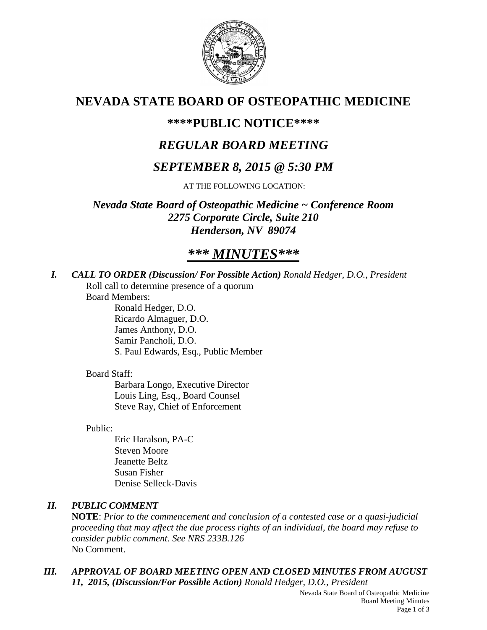

# **NEVADA STATE BOARD OF OSTEOPATHIC MEDICINE**

# **\*\*\*\*PUBLIC NOTICE\*\*\*\***

# *REGULAR BOARD MEETING*

# *SEPTEMBER 8, 2015 @ 5:30 PM*

AT THE FOLLOWING LOCATION:

*Nevada State Board of Osteopathic Medicine ~ Conference Room 2275 Corporate Circle, Suite 210 Henderson, NV 89074*

# *\*\*\* MINUTES\*\*\**

*I. CALL TO ORDER (Discussion/ For Possible Action) Ronald Hedger, D.O., President*

Roll call to determine presence of a quorum

Board Members:

Ronald Hedger, D.O. Ricardo Almaguer, D.O. James Anthony, D.O. Samir Pancholi, D.O. S. Paul Edwards, Esq., Public Member

## Board Staff:

Barbara Longo, Executive Director Louis Ling, Esq., Board Counsel Steve Ray, Chief of Enforcement

Public:

Eric Haralson, PA-C Steven Moore Jeanette Beltz Susan Fisher Denise Selleck-Davis

## *II. PUBLIC COMMENT*

**NOTE**: *Prior to the commencement and conclusion of a contested case or a quasi-judicial proceeding that may affect the due process rights of an individual, the board may refuse to consider public comment. See NRS 233B.126* No Comment.

*III. APPROVAL OF BOARD MEETING OPEN AND CLOSED MINUTES FROM AUGUST 11, 2015, (Discussion/For Possible Action) Ronald Hedger, D.O., President*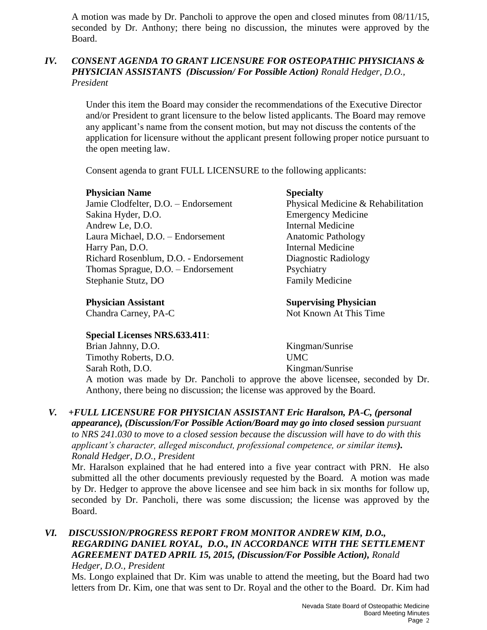A motion was made by Dr. Pancholi to approve the open and closed minutes from 08/11/15, seconded by Dr. Anthony; there being no discussion, the minutes were approved by the Board.

## *IV. CONSENT AGENDA TO GRANT LICENSURE FOR OSTEOPATHIC PHYSICIANS & PHYSICIAN ASSISTANTS (Discussion/ For Possible Action) Ronald Hedger, D.O., President*

Under this item the Board may consider the recommendations of the Executive Director and/or President to grant licensure to the below listed applicants. The Board may remove any applicant's name from the consent motion, but may not discuss the contents of the application for licensure without the applicant present following proper notice pursuant to the open meeting law.

Consent agenda to grant FULL LICENSURE to the following applicants:

## **Physician Name Specialty**

Jamie Clodfelter, D.O. – Endorsement Physical Medicine & Rehabilitation Sakina Hyder, D.O. Emergency Medicine Andrew Le, D.O. Internal Medicine Laura Michael, D.O. – Endorsement Anatomic Pathology Harry Pan, D.O. **Internal Medicine** Richard Rosenblum, D.O. - Endorsement Diagnostic Radiology Thomas Sprague, D.O. – Endorsement Psychiatry Stephanie Stutz, DO Family Medicine

## **Special Licenses NRS.633.411**:

**Physician Assistant Supervising Physician** Chandra Carney, PA-C Not Known At This Time

Brian Jahnny, D.O. Kingman/Sunrise Timothy Roberts, D.O. UMC Sarah Roth, D.O. Kingman/Sunrise

A motion was made by Dr. Pancholi to approve the above licensee, seconded by Dr. Anthony, there being no discussion; the license was approved by the Board.

#### *V. +FULL LICENSURE FOR PHYSICIAN ASSISTANT Eric Haralson, PA-C, (personal appearance), (Discussion/For Possible Action/Board may go into closed* **session** *pursuant to NRS 241.030 to move to a closed session because the discussion will have to do with this applicant's character, alleged misconduct, professional competence, or similar items). Ronald Hedger, D.O., President*

Mr. Haralson explained that he had entered into a five year contract with PRN. He also submitted all the other documents previously requested by the Board. A motion was made by Dr. Hedger to approve the above licensee and see him back in six months for follow up, seconded by Dr. Pancholi, there was some discussion; the license was approved by the Board.

# *VI. DISCUSSION/PROGRESS REPORT FROM MONITOR ANDREW KIM, D.O., REGARDING DANIEL ROYAL, D.O., IN ACCORDANCE WITH THE SETTLEMENT AGREEMENT DATED APRIL 15, 2015, (Discussion/For Possible Action), Ronald*

*Hedger, D.O., President*

Ms. Longo explained that Dr. Kim was unable to attend the meeting, but the Board had two letters from Dr. Kim, one that was sent to Dr. Royal and the other to the Board. Dr. Kim had